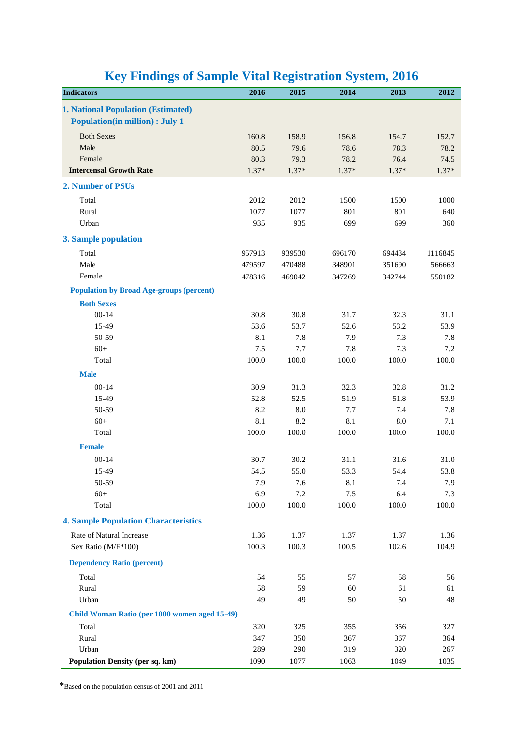|                                                 |                                               |         | o       |         |         |         |
|-------------------------------------------------|-----------------------------------------------|---------|---------|---------|---------|---------|
| <b>Indicators</b>                               |                                               | 2016    | 2015    | 2014    | 2013    | 2012    |
| <b>1. National Population (Estimated)</b>       |                                               |         |         |         |         |         |
| <b>Population(in million) : July 1</b>          |                                               |         |         |         |         |         |
| <b>Both Sexes</b>                               |                                               | 160.8   | 158.9   | 156.8   | 154.7   | 152.7   |
| Male                                            |                                               | 80.5    | 79.6    | 78.6    | 78.3    | 78.2    |
| Female                                          |                                               | 80.3    | 79.3    | 78.2    | 76.4    | 74.5    |
| <b>Intercensal Growth Rate</b>                  |                                               | $1.37*$ | $1.37*$ | $1.37*$ | $1.37*$ | $1.37*$ |
| 2. Number of PSUs                               |                                               |         |         |         |         |         |
| Total                                           |                                               | 2012    | 2012    | 1500    | 1500    | 1000    |
| Rural                                           |                                               | 1077    | 1077    | 801     | 801     | 640     |
| Urban                                           |                                               | 935     | 935     | 699     | 699     | 360     |
| 3. Sample population                            |                                               |         |         |         |         |         |
| Total                                           |                                               | 957913  | 939530  | 696170  | 694434  | 1116845 |
| Male                                            |                                               | 479597  | 470488  | 348901  | 351690  | 566663  |
| Female                                          |                                               | 478316  | 469042  | 347269  | 342744  | 550182  |
| <b>Population by Broad Age-groups (percent)</b> |                                               |         |         |         |         |         |
| <b>Both Sexes</b>                               |                                               |         |         |         |         |         |
| $00 - 14$                                       |                                               | 30.8    | 30.8    | 31.7    | 32.3    | 31.1    |
| 15-49                                           |                                               | 53.6    | 53.7    | 52.6    | 53.2    | 53.9    |
| 50-59                                           |                                               | 8.1     | 7.8     | 7.9     | 7.3     | 7.8     |
| $60+$                                           |                                               | 7.5     | 7.7     | 7.8     | 7.3     | 7.2     |
| Total                                           |                                               | 100.0   | 100.0   | 100.0   | 100.0   | 100.0   |
| <b>Male</b>                                     |                                               |         |         |         |         |         |
| $00 - 14$                                       |                                               | 30.9    | 31.3    | 32.3    | 32.8    | 31.2    |
| 15-49                                           |                                               | 52.8    | 52.5    | 51.9    | 51.8    | 53.9    |
| 50-59                                           |                                               | 8.2     | 8.0     | 7.7     | 7.4     | 7.8     |
| $60+$                                           |                                               | 8.1     | 8.2     | 8.1     | 8.0     | 7.1     |
| Total                                           |                                               | 100.0   | 100.0   | 100.0   | 100.0   | 100.0   |
| <b>Female</b>                                   |                                               |         |         |         |         |         |
| $00 - 14$                                       |                                               | 30.7    | 30.2    | 31.1    | 31.6    | 31.0    |
| 15-49                                           |                                               | 54.5    | 55.0    | 53.3    | 54.4    | 53.8    |
| 50-59                                           |                                               | 7.9     | 7.6     | 8.1     | 7.4     | 7.9     |
| $60+$                                           |                                               | 6.9     | 7.2     | 7.5     | 6.4     | 7.3     |
| Total                                           |                                               | 100.0   | 100.0   | 100.0   | 100.0   | 100.0   |
| <b>4. Sample Population Characteristics</b>     |                                               |         |         |         |         |         |
| Rate of Natural Increase                        |                                               | 1.36    | 1.37    | 1.37    | 1.37    | 1.36    |
| Sex Ratio (M/F*100)                             |                                               | 100.3   | 100.3   | 100.5   | 102.6   | 104.9   |
| <b>Dependency Ratio (percent)</b>               |                                               |         |         |         |         |         |
| Total                                           |                                               | 54      | 55      | 57      | 58      | 56      |
| Rural                                           |                                               | 58      | 59      | 60      | 61      | 61      |
| Urban                                           |                                               | 49      | 49      | 50      | 50      | 48      |
|                                                 | Child Woman Ratio (per 1000 women aged 15-49) |         |         |         |         |         |
| Total                                           |                                               | 320     | 325     | 355     | 356     | 327     |
| Rural                                           |                                               | 347     | 350     | 367     | 367     | 364     |
| Urban                                           |                                               | 289     | 290     | 319     | 320     | 267     |
| <b>Population Density (per sq. km)</b>          |                                               | 1090    | 1077    | 1063    | 1049    | 1035    |

## **Key Findings of Sample Vital Registration System, 2016**

\*Based on the population census of 2001 and 2011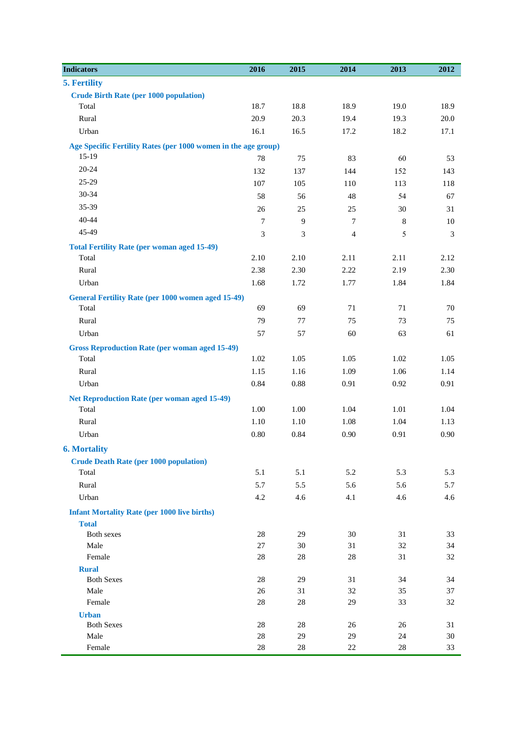| <b>Indicators</b>                                              | 2016           | 2015     | 2014           | 2013    | 2012 |
|----------------------------------------------------------------|----------------|----------|----------------|---------|------|
| 5. Fertility                                                   |                |          |                |         |      |
| <b>Crude Birth Rate (per 1000 population)</b>                  |                |          |                |         |      |
| Total                                                          | 18.7           | 18.8     | 18.9           | 19.0    | 18.9 |
| Rural                                                          | 20.9           | 20.3     | 19.4           | 19.3    | 20.0 |
| Urban                                                          | 16.1           | 16.5     | 17.2           | 18.2    | 17.1 |
| Age Specific Fertility Rates (per 1000 women in the age group) |                |          |                |         |      |
| $15-19$                                                        | $78\,$         | 75       | 83             | 60      | 53   |
| $20 - 24$                                                      | 132            | 137      | 144            | 152     | 143  |
| 25-29                                                          | 107            | 105      | 110            | 113     | 118  |
| 30-34                                                          | 58             | 56       | 48             | 54      | 67   |
| 35-39                                                          | 26             | 25       | 25             | 30      | 31   |
| 40-44                                                          | $\overline{7}$ | 9        | $\overline{7}$ | $\,8\,$ | 10   |
| 45-49                                                          | 3              | 3        | $\overline{4}$ | 5       | 3    |
| <b>Total Fertility Rate (per woman aged 15-49)</b>             |                |          |                |         |      |
| Total                                                          | 2.10           | 2.10     | 2.11           | 2.11    | 2.12 |
| Rural                                                          | 2.38           | 2.30     | 2.22           | 2.19    | 2.30 |
| Urban                                                          | 1.68           | 1.72     | 1.77           | 1.84    | 1.84 |
| <b>General Fertility Rate (per 1000 women aged 15-49)</b>      |                |          |                |         |      |
| Total                                                          | 69             | 69       | 71             | 71      | 70   |
| Rural                                                          | 79             | 77       | 75             | 73      | 75   |
| Urban                                                          | 57             | 57       | 60             | 63      | 61   |
| <b>Gross Reproduction Rate (per woman aged 15-49)</b>          |                |          |                |         |      |
| Total                                                          | $1.02\,$       | 1.05     | 1.05           | 1.02    | 1.05 |
| Rural                                                          | 1.15           | 1.16     | 1.09           | 1.06    | 1.14 |
| Urban                                                          | 0.84           | 0.88     | 0.91           | 0.92    | 0.91 |
| <b>Net Reproduction Rate (per woman aged 15-49)</b>            |                |          |                |         |      |
| Total                                                          | 1.00           | $1.00\,$ | 1.04           | 1.01    | 1.04 |
| Rural                                                          | 1.10           | 1.10     | 1.08           | 1.04    | 1.13 |
| Urban                                                          | $0.80\,$       | 0.84     | 0.90           | 0.91    | 0.90 |
| <b>6. Mortality</b>                                            |                |          |                |         |      |
| <b>Crude Death Rate (per 1000 population)</b>                  |                |          |                |         |      |
| Total                                                          | 5.1            | 5.1      | 5.2            | 5.3     | 5.3  |
| Rural                                                          | 5.7            | 5.5      | 5.6            | 5.6     | 5.7  |
| Urban                                                          | 4.2            | 4.6      | 4.1            | 4.6     | 4.6  |
| <b>Infant Mortality Rate (per 1000 live births)</b>            |                |          |                |         |      |
| <b>Total</b>                                                   |                |          |                |         |      |
| Both sexes                                                     | $28\,$         | 29       | 30             | 31      | 33   |
| Male                                                           | 27             | 30       | 31             | 32      | 34   |
| Female                                                         | $28\,$         | $28\,$   | 28             | 31      | 32   |
| <b>Rural</b>                                                   |                |          |                |         |      |
| <b>Both Sexes</b>                                              | 28             | 29       | 31             | 34      | 34   |
| Male                                                           | 26             | 31       | 32             | 35      | 37   |
| Female                                                         | $28\,$         | $28\,$   | 29             | 33      | 32   |
| <b>Urban</b><br><b>Both Sexes</b>                              | $28\,$         | 28       | 26             | 26      | 31   |
| Male                                                           | $28\,$         | 29       | 29             | 24      | 30   |
| Female                                                         | 28             | $28\,$   | 22             | $28\,$  | 33   |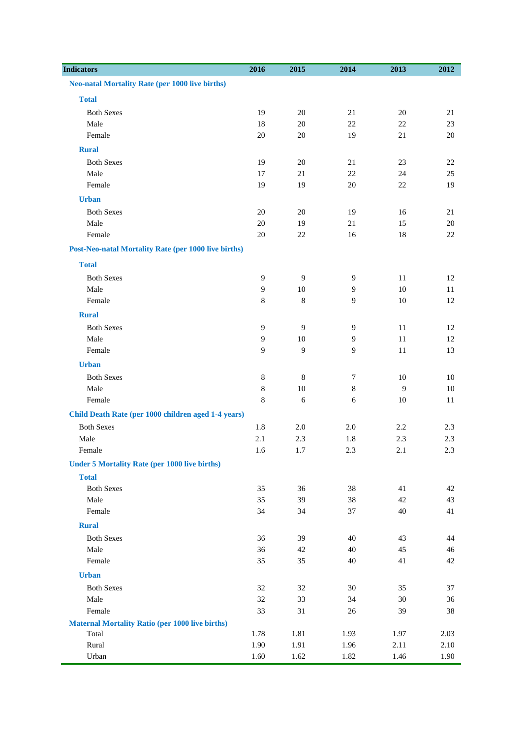| <b>Indicators</b>                                           | 2016           | 2015           | 2014           | 2013         | 2012     |
|-------------------------------------------------------------|----------------|----------------|----------------|--------------|----------|
| <b>Neo-natal Mortality Rate (per 1000 live births)</b>      |                |                |                |              |          |
| <b>Total</b>                                                |                |                |                |              |          |
| <b>Both Sexes</b>                                           | 19             | $20\,$         | 21             | $20\,$       | 21       |
| Male                                                        | 18             | $20\,$         | 22             | $22\,$       | 23       |
| Female                                                      | $20\,$         | $20\,$         | 19             | 21           | $20\,$   |
| <b>Rural</b>                                                |                |                |                |              |          |
| <b>Both Sexes</b>                                           | 19             | $20\,$         | 21             | 23           | 22       |
| Male                                                        | 17             | 21             | 22             | 24           | 25       |
| Female                                                      | 19             | 19             | 20             | $22\,$       | 19       |
| <b>Urban</b>                                                |                |                |                |              |          |
| <b>Both Sexes</b>                                           | $20\,$         | $20\,$         | 19             | 16           | 21       |
| Male                                                        | $20\,$         | 19             | 21             | 15           | 20       |
| Female                                                      | $20\,$         | 22             | 16             | 18           | 22       |
| <b>Post-Neo-natal Mortality Rate (per 1000 live births)</b> |                |                |                |              |          |
| <b>Total</b>                                                |                |                |                |              |          |
| <b>Both Sexes</b>                                           | 9              | $\overline{9}$ | 9              | 11           | 12       |
| Male                                                        | 9              | $10\,$         | 9              | 10           | 11       |
| Female                                                      | 8              | $\,8\,$        | 9              | $10\,$       | 12       |
| <b>Rural</b>                                                |                |                |                |              |          |
| <b>Both Sexes</b>                                           | 9              | 9              | 9              | $11\,$       | 12       |
| Male                                                        | $\overline{9}$ | $10\,$         | $\overline{9}$ | 11           | 12       |
| Female                                                      | 9              | 9              | 9              | 11           | 13       |
| <b>Urban</b>                                                |                |                |                |              |          |
| <b>Both Sexes</b>                                           | $\,8\,$        | $\,8\,$        | $\overline{7}$ | $10\,$       | 10       |
| Male                                                        | $\,$ 8 $\,$    | $10\,$         | $\,8\,$        | $\mathbf{9}$ | $10\,$   |
| Female                                                      | 8              | 6              | 6              | $10\,$       | 11       |
| Child Death Rate (per 1000 children aged 1-4 years)         |                |                |                |              |          |
| <b>Both Sexes</b>                                           | 1.8            | $2.0\,$        | 2.0            | 2.2          | 2.3      |
| Male                                                        | $2.1\,$        | 2.3            | 1.8            | 2.3          | 2.3      |
| Female                                                      | 1.6            | 1.7            | 2.3            | 2.1          | 2.3      |
| <b>Under 5 Mortality Rate (per 1000 live births)</b>        |                |                |                |              |          |
| <b>Total</b>                                                |                |                |                |              |          |
| <b>Both Sexes</b><br>Male                                   | 35<br>35       | 36<br>39       | 38<br>38       | 41<br>42     | 42<br>43 |
| Female                                                      | 34             | 34             | 37             | 40           | 41       |
| <b>Rural</b>                                                |                |                |                |              |          |
| <b>Both Sexes</b>                                           | 36             | 39             | 40             | 43           | 44       |
| Male                                                        | 36             | 42             | 40             | 45           | 46       |
| Female                                                      | 35             | 35             | 40             | 41           | 42       |
| <b>Urban</b>                                                |                |                |                |              |          |
| <b>Both Sexes</b>                                           | 32             | 32             | 30             | 35           | 37       |
| Male                                                        | 32             | 33             | 34             | 30           | 36       |
| Female                                                      | 33             | 31             | 26             | 39           | 38       |
| <b>Maternal Mortality Ratio (per 1000 live births)</b>      |                |                |                |              |          |
| Total                                                       | 1.78           | 1.81           | 1.93           | 1.97         | 2.03     |
| Rural                                                       | 1.90           | 1.91           | 1.96           | 2.11         | 2.10     |
| Urban                                                       | 1.60           | 1.62           | 1.82           | 1.46         | 1.90     |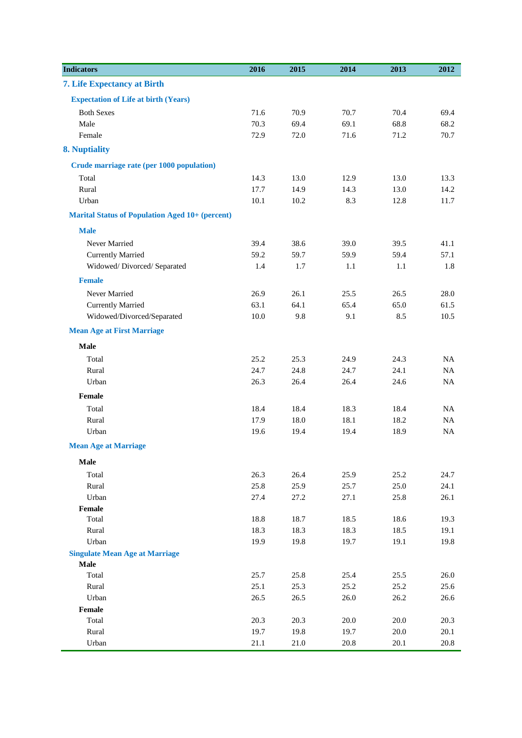| 7. Life Expectancy at Birth<br><b>Expectation of Life at birth (Years)</b><br><b>Both Sexes</b><br>71.6<br>70.9<br>70.7<br>70.4<br>69.4<br>70.3<br>69.4<br>69.1<br>68.8<br>68.2<br>Male<br>Female<br>72.9<br>72.0<br>71.6<br>71.2<br>70.7<br>8. Nuptiality<br>Crude marriage rate (per 1000 population)<br>13.0<br>14.3<br>13.0<br>13.3<br>Total<br>12.9<br>14.9<br>Rural<br>17.7<br>14.3<br>13.0<br>14.2<br>Urban<br>10.1<br>10.2<br>8.3<br>12.8<br>11.7<br><b>Marital Status of Population Aged 10+ (percent)</b><br><b>Male</b><br>38.6<br>Never Married<br>39.4<br>39.0<br>41.1<br>39.5<br>59.2<br>59.7<br>57.1<br><b>Currently Married</b><br>59.9<br>59.4<br>Widowed/Divorced/Separated<br>1.4<br>1.7<br>$1.1\,$<br>1.1<br>1.8<br><b>Female</b><br>Never Married<br>26.9<br>26.1<br>25.5<br>26.5<br>28.0<br>64.1<br>65.4<br>Currently Married<br>63.1<br>65.0<br>61.5<br>Widowed/Divorced/Separated<br>9.8<br>9.1<br>8.5<br>10.5<br>10.0<br><b>Mean Age at First Marriage</b><br><b>Male</b><br>Total<br>25.2<br>25.3<br>24.3<br>NA<br>24.9<br>24.8<br>24.1<br>24.7<br>24.7<br>NA<br>Rural<br>26.3<br>26.4<br>26.4<br>24.6<br>Urban<br><b>NA</b><br>Female<br>18.4<br>Total<br>18.4<br>18.3<br>18.4<br><b>NA</b><br>18.0<br>Rural<br>17.9<br>18.1<br>18.2<br>$_{\rm NA}$<br>Urban<br>19.4<br>19.4<br>18.9<br>$_{\rm NA}$<br>19.6<br><b>Mean Age at Marriage</b><br>Male<br>Total<br>26.3<br>26.4<br>25.9<br>25.2<br>24.7<br>25.9<br>Rural<br>25.8<br>25.7<br>25.0<br>24.1<br>Urban<br>27.1<br>25.8<br>26.1<br>27.4<br>27.2<br>Female<br>Total<br>18.8<br>18.7<br>18.5<br>18.6<br>19.3<br>Rural<br>18.3<br>18.3<br>18.3<br>18.5<br>19.1<br>Urban<br>19.8<br>19.7<br>19.1<br>19.8<br>19.9<br><b>Singulate Mean Age at Marriage</b><br>Male<br>25.8<br>25.4<br>25.5<br>26.0<br>Total<br>25.7<br>25.2<br>25.6<br>25.1<br>25.3<br>25.2<br>Rural<br>Urban<br>26.5<br>26.5<br>26.0<br>26.2<br>26.6<br>Female<br>Total<br>20.3<br>20.3<br>20.0<br>20.0<br>20.3<br>Rural<br>19.7<br>19.8<br>19.7<br>20.0<br>20.1 | <b>Indicators</b> | 2016 | 2015 | 2014     | 2013 | 2012 |
|---------------------------------------------------------------------------------------------------------------------------------------------------------------------------------------------------------------------------------------------------------------------------------------------------------------------------------------------------------------------------------------------------------------------------------------------------------------------------------------------------------------------------------------------------------------------------------------------------------------------------------------------------------------------------------------------------------------------------------------------------------------------------------------------------------------------------------------------------------------------------------------------------------------------------------------------------------------------------------------------------------------------------------------------------------------------------------------------------------------------------------------------------------------------------------------------------------------------------------------------------------------------------------------------------------------------------------------------------------------------------------------------------------------------------------------------------------------------------------------------------------------------------------------------------------------------------------------------------------------------------------------------------------------------------------------------------------------------------------------------------------------------------------------------------------------------------------------------------------------------------------------------------------------------------------------------------------------------------------------------------------------|-------------------|------|------|----------|------|------|
|                                                                                                                                                                                                                                                                                                                                                                                                                                                                                                                                                                                                                                                                                                                                                                                                                                                                                                                                                                                                                                                                                                                                                                                                                                                                                                                                                                                                                                                                                                                                                                                                                                                                                                                                                                                                                                                                                                                                                                                                               |                   |      |      |          |      |      |
|                                                                                                                                                                                                                                                                                                                                                                                                                                                                                                                                                                                                                                                                                                                                                                                                                                                                                                                                                                                                                                                                                                                                                                                                                                                                                                                                                                                                                                                                                                                                                                                                                                                                                                                                                                                                                                                                                                                                                                                                               |                   |      |      |          |      |      |
|                                                                                                                                                                                                                                                                                                                                                                                                                                                                                                                                                                                                                                                                                                                                                                                                                                                                                                                                                                                                                                                                                                                                                                                                                                                                                                                                                                                                                                                                                                                                                                                                                                                                                                                                                                                                                                                                                                                                                                                                               |                   |      |      |          |      |      |
|                                                                                                                                                                                                                                                                                                                                                                                                                                                                                                                                                                                                                                                                                                                                                                                                                                                                                                                                                                                                                                                                                                                                                                                                                                                                                                                                                                                                                                                                                                                                                                                                                                                                                                                                                                                                                                                                                                                                                                                                               |                   |      |      |          |      |      |
|                                                                                                                                                                                                                                                                                                                                                                                                                                                                                                                                                                                                                                                                                                                                                                                                                                                                                                                                                                                                                                                                                                                                                                                                                                                                                                                                                                                                                                                                                                                                                                                                                                                                                                                                                                                                                                                                                                                                                                                                               |                   |      |      |          |      |      |
|                                                                                                                                                                                                                                                                                                                                                                                                                                                                                                                                                                                                                                                                                                                                                                                                                                                                                                                                                                                                                                                                                                                                                                                                                                                                                                                                                                                                                                                                                                                                                                                                                                                                                                                                                                                                                                                                                                                                                                                                               |                   |      |      |          |      |      |
|                                                                                                                                                                                                                                                                                                                                                                                                                                                                                                                                                                                                                                                                                                                                                                                                                                                                                                                                                                                                                                                                                                                                                                                                                                                                                                                                                                                                                                                                                                                                                                                                                                                                                                                                                                                                                                                                                                                                                                                                               |                   |      |      |          |      |      |
|                                                                                                                                                                                                                                                                                                                                                                                                                                                                                                                                                                                                                                                                                                                                                                                                                                                                                                                                                                                                                                                                                                                                                                                                                                                                                                                                                                                                                                                                                                                                                                                                                                                                                                                                                                                                                                                                                                                                                                                                               |                   |      |      |          |      |      |
|                                                                                                                                                                                                                                                                                                                                                                                                                                                                                                                                                                                                                                                                                                                                                                                                                                                                                                                                                                                                                                                                                                                                                                                                                                                                                                                                                                                                                                                                                                                                                                                                                                                                                                                                                                                                                                                                                                                                                                                                               |                   |      |      |          |      |      |
|                                                                                                                                                                                                                                                                                                                                                                                                                                                                                                                                                                                                                                                                                                                                                                                                                                                                                                                                                                                                                                                                                                                                                                                                                                                                                                                                                                                                                                                                                                                                                                                                                                                                                                                                                                                                                                                                                                                                                                                                               |                   |      |      |          |      |      |
|                                                                                                                                                                                                                                                                                                                                                                                                                                                                                                                                                                                                                                                                                                                                                                                                                                                                                                                                                                                                                                                                                                                                                                                                                                                                                                                                                                                                                                                                                                                                                                                                                                                                                                                                                                                                                                                                                                                                                                                                               |                   |      |      |          |      |      |
|                                                                                                                                                                                                                                                                                                                                                                                                                                                                                                                                                                                                                                                                                                                                                                                                                                                                                                                                                                                                                                                                                                                                                                                                                                                                                                                                                                                                                                                                                                                                                                                                                                                                                                                                                                                                                                                                                                                                                                                                               |                   |      |      |          |      |      |
|                                                                                                                                                                                                                                                                                                                                                                                                                                                                                                                                                                                                                                                                                                                                                                                                                                                                                                                                                                                                                                                                                                                                                                                                                                                                                                                                                                                                                                                                                                                                                                                                                                                                                                                                                                                                                                                                                                                                                                                                               |                   |      |      |          |      |      |
|                                                                                                                                                                                                                                                                                                                                                                                                                                                                                                                                                                                                                                                                                                                                                                                                                                                                                                                                                                                                                                                                                                                                                                                                                                                                                                                                                                                                                                                                                                                                                                                                                                                                                                                                                                                                                                                                                                                                                                                                               |                   |      |      |          |      |      |
|                                                                                                                                                                                                                                                                                                                                                                                                                                                                                                                                                                                                                                                                                                                                                                                                                                                                                                                                                                                                                                                                                                                                                                                                                                                                                                                                                                                                                                                                                                                                                                                                                                                                                                                                                                                                                                                                                                                                                                                                               |                   |      |      |          |      |      |
|                                                                                                                                                                                                                                                                                                                                                                                                                                                                                                                                                                                                                                                                                                                                                                                                                                                                                                                                                                                                                                                                                                                                                                                                                                                                                                                                                                                                                                                                                                                                                                                                                                                                                                                                                                                                                                                                                                                                                                                                               |                   |      |      |          |      |      |
|                                                                                                                                                                                                                                                                                                                                                                                                                                                                                                                                                                                                                                                                                                                                                                                                                                                                                                                                                                                                                                                                                                                                                                                                                                                                                                                                                                                                                                                                                                                                                                                                                                                                                                                                                                                                                                                                                                                                                                                                               |                   |      |      |          |      |      |
|                                                                                                                                                                                                                                                                                                                                                                                                                                                                                                                                                                                                                                                                                                                                                                                                                                                                                                                                                                                                                                                                                                                                                                                                                                                                                                                                                                                                                                                                                                                                                                                                                                                                                                                                                                                                                                                                                                                                                                                                               |                   |      |      |          |      |      |
|                                                                                                                                                                                                                                                                                                                                                                                                                                                                                                                                                                                                                                                                                                                                                                                                                                                                                                                                                                                                                                                                                                                                                                                                                                                                                                                                                                                                                                                                                                                                                                                                                                                                                                                                                                                                                                                                                                                                                                                                               |                   |      |      |          |      |      |
|                                                                                                                                                                                                                                                                                                                                                                                                                                                                                                                                                                                                                                                                                                                                                                                                                                                                                                                                                                                                                                                                                                                                                                                                                                                                                                                                                                                                                                                                                                                                                                                                                                                                                                                                                                                                                                                                                                                                                                                                               |                   |      |      |          |      |      |
|                                                                                                                                                                                                                                                                                                                                                                                                                                                                                                                                                                                                                                                                                                                                                                                                                                                                                                                                                                                                                                                                                                                                                                                                                                                                                                                                                                                                                                                                                                                                                                                                                                                                                                                                                                                                                                                                                                                                                                                                               |                   |      |      |          |      |      |
|                                                                                                                                                                                                                                                                                                                                                                                                                                                                                                                                                                                                                                                                                                                                                                                                                                                                                                                                                                                                                                                                                                                                                                                                                                                                                                                                                                                                                                                                                                                                                                                                                                                                                                                                                                                                                                                                                                                                                                                                               |                   |      |      |          |      |      |
|                                                                                                                                                                                                                                                                                                                                                                                                                                                                                                                                                                                                                                                                                                                                                                                                                                                                                                                                                                                                                                                                                                                                                                                                                                                                                                                                                                                                                                                                                                                                                                                                                                                                                                                                                                                                                                                                                                                                                                                                               |                   |      |      |          |      |      |
|                                                                                                                                                                                                                                                                                                                                                                                                                                                                                                                                                                                                                                                                                                                                                                                                                                                                                                                                                                                                                                                                                                                                                                                                                                                                                                                                                                                                                                                                                                                                                                                                                                                                                                                                                                                                                                                                                                                                                                                                               |                   |      |      |          |      |      |
|                                                                                                                                                                                                                                                                                                                                                                                                                                                                                                                                                                                                                                                                                                                                                                                                                                                                                                                                                                                                                                                                                                                                                                                                                                                                                                                                                                                                                                                                                                                                                                                                                                                                                                                                                                                                                                                                                                                                                                                                               |                   |      |      |          |      |      |
|                                                                                                                                                                                                                                                                                                                                                                                                                                                                                                                                                                                                                                                                                                                                                                                                                                                                                                                                                                                                                                                                                                                                                                                                                                                                                                                                                                                                                                                                                                                                                                                                                                                                                                                                                                                                                                                                                                                                                                                                               |                   |      |      |          |      |      |
|                                                                                                                                                                                                                                                                                                                                                                                                                                                                                                                                                                                                                                                                                                                                                                                                                                                                                                                                                                                                                                                                                                                                                                                                                                                                                                                                                                                                                                                                                                                                                                                                                                                                                                                                                                                                                                                                                                                                                                                                               |                   |      |      |          |      |      |
|                                                                                                                                                                                                                                                                                                                                                                                                                                                                                                                                                                                                                                                                                                                                                                                                                                                                                                                                                                                                                                                                                                                                                                                                                                                                                                                                                                                                                                                                                                                                                                                                                                                                                                                                                                                                                                                                                                                                                                                                               |                   |      |      |          |      |      |
|                                                                                                                                                                                                                                                                                                                                                                                                                                                                                                                                                                                                                                                                                                                                                                                                                                                                                                                                                                                                                                                                                                                                                                                                                                                                                                                                                                                                                                                                                                                                                                                                                                                                                                                                                                                                                                                                                                                                                                                                               |                   |      |      |          |      |      |
|                                                                                                                                                                                                                                                                                                                                                                                                                                                                                                                                                                                                                                                                                                                                                                                                                                                                                                                                                                                                                                                                                                                                                                                                                                                                                                                                                                                                                                                                                                                                                                                                                                                                                                                                                                                                                                                                                                                                                                                                               |                   |      |      |          |      |      |
|                                                                                                                                                                                                                                                                                                                                                                                                                                                                                                                                                                                                                                                                                                                                                                                                                                                                                                                                                                                                                                                                                                                                                                                                                                                                                                                                                                                                                                                                                                                                                                                                                                                                                                                                                                                                                                                                                                                                                                                                               |                   |      |      |          |      |      |
|                                                                                                                                                                                                                                                                                                                                                                                                                                                                                                                                                                                                                                                                                                                                                                                                                                                                                                                                                                                                                                                                                                                                                                                                                                                                                                                                                                                                                                                                                                                                                                                                                                                                                                                                                                                                                                                                                                                                                                                                               |                   |      |      |          |      |      |
|                                                                                                                                                                                                                                                                                                                                                                                                                                                                                                                                                                                                                                                                                                                                                                                                                                                                                                                                                                                                                                                                                                                                                                                                                                                                                                                                                                                                                                                                                                                                                                                                                                                                                                                                                                                                                                                                                                                                                                                                               |                   |      |      |          |      |      |
|                                                                                                                                                                                                                                                                                                                                                                                                                                                                                                                                                                                                                                                                                                                                                                                                                                                                                                                                                                                                                                                                                                                                                                                                                                                                                                                                                                                                                                                                                                                                                                                                                                                                                                                                                                                                                                                                                                                                                                                                               |                   |      |      |          |      |      |
|                                                                                                                                                                                                                                                                                                                                                                                                                                                                                                                                                                                                                                                                                                                                                                                                                                                                                                                                                                                                                                                                                                                                                                                                                                                                                                                                                                                                                                                                                                                                                                                                                                                                                                                                                                                                                                                                                                                                                                                                               |                   |      |      |          |      |      |
|                                                                                                                                                                                                                                                                                                                                                                                                                                                                                                                                                                                                                                                                                                                                                                                                                                                                                                                                                                                                                                                                                                                                                                                                                                                                                                                                                                                                                                                                                                                                                                                                                                                                                                                                                                                                                                                                                                                                                                                                               |                   |      |      |          |      |      |
|                                                                                                                                                                                                                                                                                                                                                                                                                                                                                                                                                                                                                                                                                                                                                                                                                                                                                                                                                                                                                                                                                                                                                                                                                                                                                                                                                                                                                                                                                                                                                                                                                                                                                                                                                                                                                                                                                                                                                                                                               |                   |      |      |          |      |      |
|                                                                                                                                                                                                                                                                                                                                                                                                                                                                                                                                                                                                                                                                                                                                                                                                                                                                                                                                                                                                                                                                                                                                                                                                                                                                                                                                                                                                                                                                                                                                                                                                                                                                                                                                                                                                                                                                                                                                                                                                               |                   |      |      |          |      |      |
|                                                                                                                                                                                                                                                                                                                                                                                                                                                                                                                                                                                                                                                                                                                                                                                                                                                                                                                                                                                                                                                                                                                                                                                                                                                                                                                                                                                                                                                                                                                                                                                                                                                                                                                                                                                                                                                                                                                                                                                                               |                   |      |      |          |      |      |
|                                                                                                                                                                                                                                                                                                                                                                                                                                                                                                                                                                                                                                                                                                                                                                                                                                                                                                                                                                                                                                                                                                                                                                                                                                                                                                                                                                                                                                                                                                                                                                                                                                                                                                                                                                                                                                                                                                                                                                                                               |                   |      |      |          |      |      |
|                                                                                                                                                                                                                                                                                                                                                                                                                                                                                                                                                                                                                                                                                                                                                                                                                                                                                                                                                                                                                                                                                                                                                                                                                                                                                                                                                                                                                                                                                                                                                                                                                                                                                                                                                                                                                                                                                                                                                                                                               |                   |      |      |          |      |      |
|                                                                                                                                                                                                                                                                                                                                                                                                                                                                                                                                                                                                                                                                                                                                                                                                                                                                                                                                                                                                                                                                                                                                                                                                                                                                                                                                                                                                                                                                                                                                                                                                                                                                                                                                                                                                                                                                                                                                                                                                               |                   |      |      |          |      |      |
|                                                                                                                                                                                                                                                                                                                                                                                                                                                                                                                                                                                                                                                                                                                                                                                                                                                                                                                                                                                                                                                                                                                                                                                                                                                                                                                                                                                                                                                                                                                                                                                                                                                                                                                                                                                                                                                                                                                                                                                                               |                   |      |      |          |      |      |
|                                                                                                                                                                                                                                                                                                                                                                                                                                                                                                                                                                                                                                                                                                                                                                                                                                                                                                                                                                                                                                                                                                                                                                                                                                                                                                                                                                                                                                                                                                                                                                                                                                                                                                                                                                                                                                                                                                                                                                                                               |                   |      |      |          |      |      |
|                                                                                                                                                                                                                                                                                                                                                                                                                                                                                                                                                                                                                                                                                                                                                                                                                                                                                                                                                                                                                                                                                                                                                                                                                                                                                                                                                                                                                                                                                                                                                                                                                                                                                                                                                                                                                                                                                                                                                                                                               | Urban             | 21.1 | 21.0 | $20.8\,$ | 20.1 | 20.8 |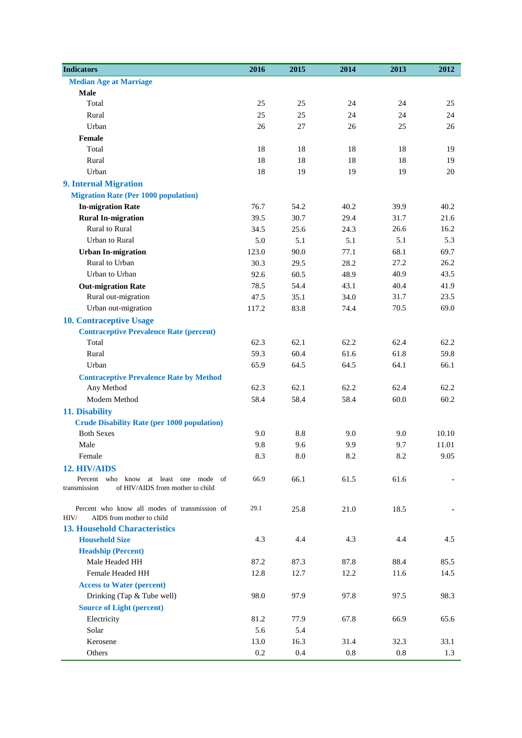| <b>Indicators</b>                                                                  | 2016  | 2015       | 2014    | 2013 | 2012     |
|------------------------------------------------------------------------------------|-------|------------|---------|------|----------|
| <b>Median Age at Marriage</b>                                                      |       |            |         |      |          |
| Male                                                                               |       |            |         |      |          |
| Total                                                                              | 25    | 25         | 24      | 24   | 25       |
| Rural                                                                              | 25    | 25         | 24      | 24   | 24       |
| Urban                                                                              | 26    | 27         | 26      | 25   | 26       |
| Female                                                                             |       |            |         |      |          |
| Total                                                                              | 18    | 18         | 18      | 18   | 19       |
| Rural                                                                              | 18    | 18         | 18      | 18   | 19       |
| Urban                                                                              | 18    | 19         | 19      | 19   | 20       |
| <b>9. Internal Migration</b>                                                       |       |            |         |      |          |
| <b>Migration Rate (Per 1000 population)</b>                                        |       |            |         |      |          |
| <b>In-migration Rate</b>                                                           | 76.7  | 54.2       | 40.2    | 39.9 | 40.2     |
| <b>Rural In-migration</b>                                                          | 39.5  | 30.7       | 29.4    | 31.7 | 21.6     |
| Rural to Rural                                                                     | 34.5  | 25.6       | 24.3    | 26.6 | 16.2     |
| Urban to Rural                                                                     | 5.0   | 5.1        | 5.1     | 5.1  | 5.3      |
| <b>Urban In-migration</b>                                                          | 123.0 | 90.0       | 77.1    | 68.1 | 69.7     |
| Rural to Urban                                                                     | 30.3  | 29.5       | 28.2    | 27.2 | 26.2     |
| Urban to Urban                                                                     | 92.6  | 60.5       | 48.9    | 40.9 | 43.5     |
| <b>Out-migration Rate</b>                                                          | 78.5  | 54.4       | 43.1    | 40.4 | 41.9     |
| Rural out-migration                                                                | 47.5  | 35.1       | 34.0    | 31.7 | 23.5     |
| Urban out-migration                                                                | 117.2 | 83.8       | 74.4    | 70.5 | 69.0     |
| <b>10. Contraceptive Usage</b>                                                     |       |            |         |      |          |
| <b>Contraceptive Prevalence Rate (percent)</b>                                     |       |            |         |      |          |
| Total                                                                              | 62.3  | 62.1       | 62.2    | 62.4 | 62.2     |
| Rural                                                                              | 59.3  | 60.4       | 61.6    | 61.8 | 59.8     |
| Urban                                                                              | 65.9  | 64.5       | 64.5    | 64.1 | 66.1     |
| <b>Contraceptive Prevalence Rate by Method</b>                                     |       |            |         |      |          |
| Any Method                                                                         | 62.3  | 62.1       | 62.2    | 62.4 | 62.2     |
| Modern Method                                                                      | 58.4  | 58.4       | 58.4    | 60.0 | 60.2     |
| 11. Disability                                                                     |       |            |         |      |          |
| <b>Crude Disability Rate (per 1000 population)</b>                                 |       |            |         |      |          |
| <b>Both Sexes</b>                                                                  | 9.0   | 8.8        | 9.0     | 9.0  | 10.10    |
| Male                                                                               | 9.8   | 9.6        | 9.9     | 9.7  | 11.01    |
| Female                                                                             | 8.3   | $\ \, 8.0$ | 8.2     | 8.2  | $9.05\,$ |
| 12. HIV/AIDS                                                                       |       |            |         |      |          |
| Percent who<br>at least one mode of<br>know                                        | 66.9  | 66.1       | 61.5    | 61.6 |          |
| of HIV/AIDS from mother to child<br>transmission                                   |       |            |         |      |          |
|                                                                                    |       |            |         |      |          |
| Percent who know all modes of transmission of<br>HIV/<br>AIDS from mother to child | 29.1  | 25.8       | 21.0    | 18.5 |          |
| <b>13. Household Characteristics</b>                                               |       |            |         |      |          |
| <b>Household Size</b>                                                              | 4.3   | 4.4        | 4.3     | 4.4  | 4.5      |
| <b>Headship (Percent)</b>                                                          |       |            |         |      |          |
| Male Headed HH                                                                     | 87.2  | 87.3       | 87.8    | 88.4 | 85.5     |
| Female Headed HH                                                                   | 12.8  | 12.7       | 12.2    | 11.6 | 14.5     |
| <b>Access to Water (percent)</b>                                                   |       |            |         |      |          |
| Drinking (Tap & Tube well)                                                         | 98.0  | 97.9       | 97.8    | 97.5 | 98.3     |
| <b>Source of Light (percent)</b>                                                   |       |            |         |      |          |
| Electricity                                                                        | 81.2  | 77.9       | 67.8    | 66.9 | 65.6     |
| Solar                                                                              | 5.6   | 5.4        |         |      |          |
| Kerosene                                                                           | 13.0  | 16.3       | 31.4    | 32.3 | 33.1     |
| Others                                                                             | 0.2   | 0.4        | $0.8\,$ | 0.8  | 1.3      |
|                                                                                    |       |            |         |      |          |